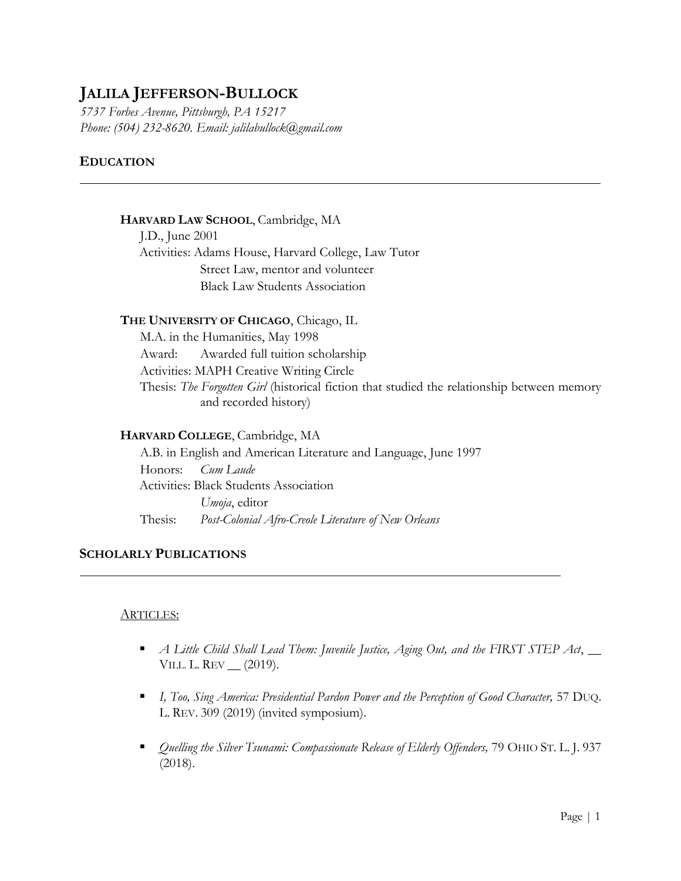# **JALILA JEFFERSON-BULLOCK**

*5737 Forbes Avenue, Pittsburgh, PA 15217 Phone: (504) 232-8620. Email: jalilabullock@gmail.com* 

# **EDUCATION**

### **HARVARD LAW SCHOOL**, Cambridge, MA

J.D., June 2001 Activities: Adams House, Harvard College, Law Tutor Street Law, mentor and volunteer Black Law Students Association

### **THE UNIVERSITY OF CHICAGO**, Chicago, IL

M.A. in the Humanities, May 1998 Award: Awarded full tuition scholarship Activities: MAPH Creative Writing Circle Thesis: *The Forgotten Girl* (historical fiction that studied the relationship between memory and recorded history)

# **HARVARD COLLEGE**, Cambridge, MA

A.B. in English and American Literature and Language, June 1997 Honors: *Cum Laude* Activities: Black Students Association *Umoja*, editor Thesis: *Post-Colonial Afro-Creole Literature of New Orleans*

# **SCHOLARLY PUBLICATIONS**

#### ARTICLES:

- *A Little Child Shall Lead Them: Juvenile Justice, Aging Out, and the FIRST STEP Act*, \_\_ VILL. L. REV \_\_ (2019).
- **I** *I, Too, Sing America: Presidential Pardon Power and the Perception of Good Character, 57 DUQ.* L. REV. 309 (2019) (invited symposium).
- *Quelling the Silver Tsunami: Compassionate Release of Elderly Offenders,* 79 OHIO ST. L. J. 937 (2018).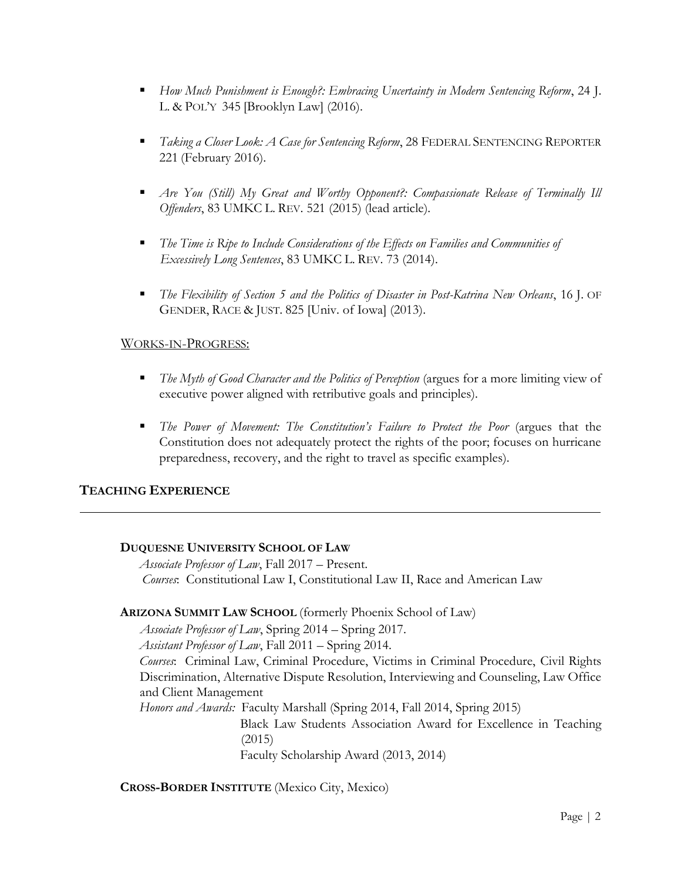- *How Much Punishment is Enough?: Embracing Uncertainty in Modern Sentencing Reform*, 24 J. L. & POL'Y 345 [Brooklyn Law] (2016).
- *Taking a Closer Look: A Case for Sentencing Reform*, 28 FEDERAL SENTENCING REPORTER 221 (February 2016).
- *Are You (Still) My Great and Worthy Opponent?: Compassionate Release of Terminally Ill Offenders*, 83 UMKC L. REV. 521 (2015) (lead article).
- *The Time is Ripe to Include Considerations of the Effects on Families and Communities of Excessively Long Sentences*, 83 UMKC L. REV. 73 (2014).
- *The Flexibility of Section 5 and the Politics of Disaster in Post-Katrina New Orleans*, 16 J. OF GENDER, RACE & JUST. 825 [Univ. of Iowa] (2013).

# WORKS-IN-PROGRESS:

- **The Myth of Good Character and the Politics of Perception (argues for a more limiting view of** executive power aligned with retributive goals and principles).
- *The Power of Movement: The Constitution's Failure to Protect the Poor (argues that the* Constitution does not adequately protect the rights of the poor; focuses on hurricane preparedness, recovery, and the right to travel as specific examples).

# **TEACHING EXPERIENCE**

# **DUQUESNE UNIVERSITY SCHOOL OF LAW**

*Associate Professor of Law*, Fall 2017 – Present. *Courses*: Constitutional Law I, Constitutional Law II, Race and American Law

#### **ARIZONA SUMMIT LAW SCHOOL** (formerly Phoenix School of Law)

*Associate Professor of Law*, Spring 2014 – Spring 2017.

*Assistant Professor of Law*, Fall 2011 – Spring 2014.

*Courses*: Criminal Law, Criminal Procedure, Victims in Criminal Procedure, Civil Rights Discrimination, Alternative Dispute Resolution, Interviewing and Counseling, Law Office and Client Management

*Honors and Awards:* Faculty Marshall (Spring 2014, Fall 2014, Spring 2015)

Black Law Students Association Award for Excellence in Teaching (2015)

Faculty Scholarship Award (2013, 2014)

**CROSS-BORDER INSTITUTE** (Mexico City, Mexico)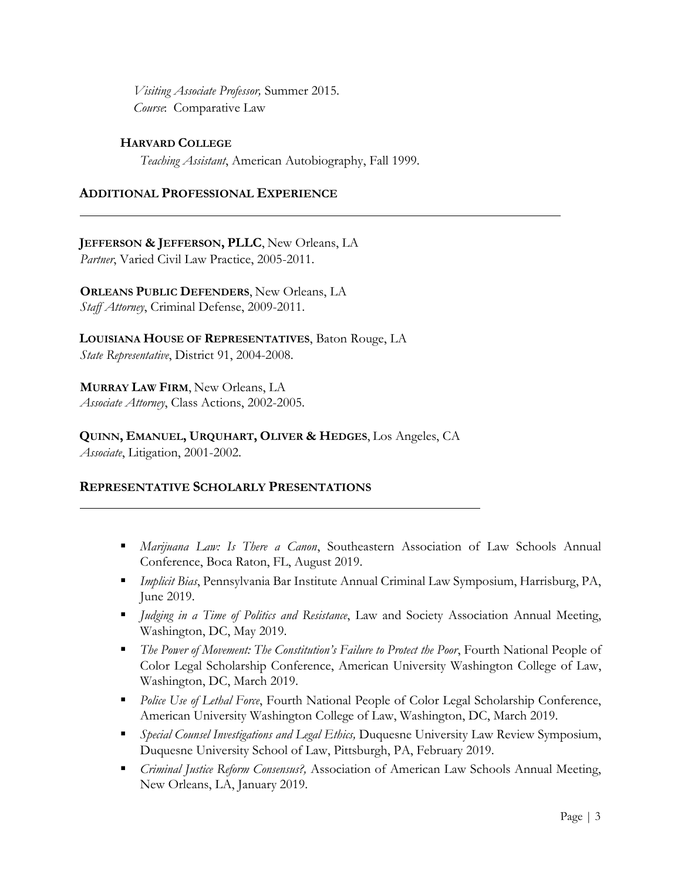*Visiting Associate Professor,* Summer 2015.  *Course*: Comparative Law

# **HARVARD COLLEGE**

*Teaching Assistant*, American Autobiography, Fall 1999.

# **ADDITIONAL PROFESSIONAL EXPERIENCE**

**JEFFERSON & JEFFERSON, PLLC**, New Orleans, LA *Partner*, Varied Civil Law Practice, 2005-2011.

**ORLEANS PUBLIC DEFENDERS**, New Orleans, LA *Staff Attorney*, Criminal Defense, 2009-2011.

**LOUISIANA HOUSE OF REPRESENTATIVES**, Baton Rouge, LA *State Representative*, District 91, 2004-2008.

**MURRAY LAW FIRM**, New Orleans, LA *Associate Attorney*, Class Actions, 2002-2005.

**QUINN, EMANUEL, URQUHART, OLIVER & HEDGES**, Los Angeles, CA *Associate*, Litigation, 2001-2002.

# **REPRESENTATIVE SCHOLARLY PRESENTATIONS**

- *Marijuana Law: Is There a Canon*, Southeastern Association of Law Schools Annual Conference, Boca Raton, FL, August 2019.
- *Implicit Bias*, Pennsylvania Bar Institute Annual Criminal Law Symposium, Harrisburg, PA, June 2019.
- *Judging in a Time of Politics and Resistance*, Law and Society Association Annual Meeting, Washington, DC, May 2019.
- *The Power of Movement: The Constitution's Failure to Protect the Poor*, Fourth National People of Color Legal Scholarship Conference, American University Washington College of Law, Washington, DC, March 2019.
- **Police Use of Lethal Force, Fourth National People of Color Legal Scholarship Conference,** American University Washington College of Law, Washington, DC, March 2019.
- *Special Counsel Investigations and Legal Ethics,* Duquesne University Law Review Symposium, Duquesne University School of Law, Pittsburgh, PA, February 2019.
- *Criminal Justice Reform Consensus?,* Association of American Law Schools Annual Meeting, New Orleans, LA, January 2019.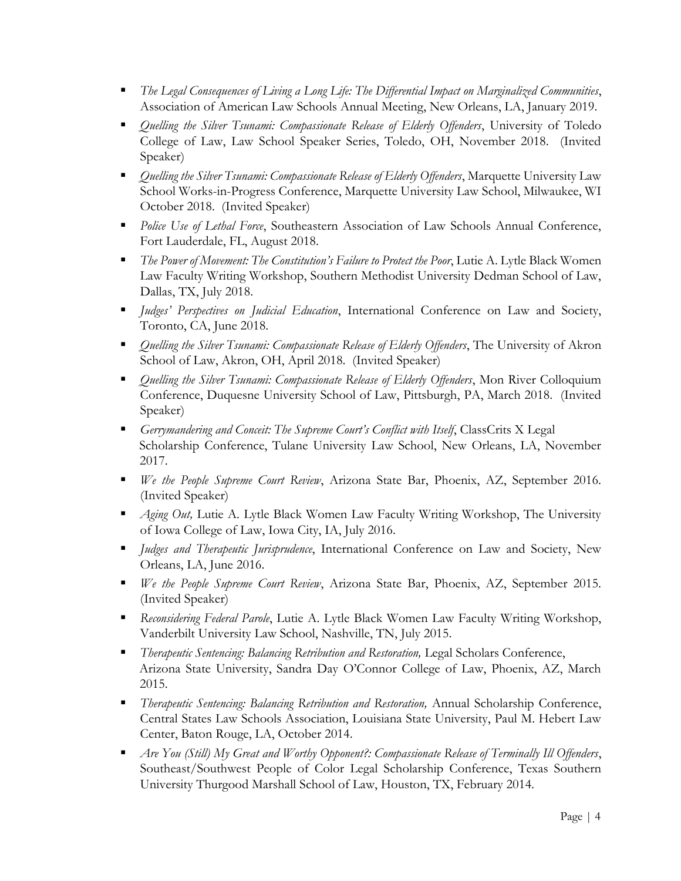- *The Legal Consequences of Living a Long Life: The Differential Impact on Marginalized Communities*, Association of American Law Schools Annual Meeting, New Orleans, LA, January 2019.
- **•** *Quelling the Silver Tsunami: Compassionate Release of Elderly Offenders*, University of Toledo College of Law, Law School Speaker Series, Toledo, OH, November 2018. (Invited Speaker)
- *Quelling the Silver Tsunami: Compassionate Release of Elderly Offenders*, Marquette University Law School Works-in-Progress Conference, Marquette University Law School, Milwaukee, WI October 2018. (Invited Speaker)
- **Police Use of Lethal Force, Southeastern Association of Law Schools Annual Conference,** Fort Lauderdale, FL, August 2018.
- *The Power of Movement: The Constitution's Failure to Protect the Poor*, Lutie A. Lytle Black Women Law Faculty Writing Workshop, Southern Methodist University Dedman School of Law, Dallas, TX, July 2018.
- *Judges' Perspectives on Judicial Education*, International Conference on Law and Society, Toronto, CA, June 2018.
- *Quelling the Silver Tsunami: Compassionate Release of Elderly Offenders*, The University of Akron School of Law, Akron, OH, April 2018. (Invited Speaker)
- *Quelling the Silver Tsunami: Compassionate Release of Elderly Offenders*, Mon River Colloquium Conference, Duquesne University School of Law, Pittsburgh, PA, March 2018. (Invited Speaker)
- *Gerrymandering and Conceit: The Supreme Court's Conflict with Itself*, ClassCrits X Legal Scholarship Conference, Tulane University Law School, New Orleans, LA, November 2017.
- *We the People Supreme Court Review*, Arizona State Bar, Phoenix, AZ, September 2016. (Invited Speaker)
- **Aging Out, Lutie A. Lytle Black Women Law Faculty Writing Workshop, The University** of Iowa College of Law, Iowa City, IA, July 2016.
- *Judges and Therapeutic Jurisprudence*, International Conference on Law and Society, New Orleans, LA, June 2016.
- *We the People Supreme Court Review*, Arizona State Bar, Phoenix, AZ, September 2015. (Invited Speaker)
- *Reconsidering Federal Parole*, Lutie A. Lytle Black Women Law Faculty Writing Workshop, Vanderbilt University Law School, Nashville, TN, July 2015.
- *Therapeutic Sentencing: Balancing Retribution and Restoration,* Legal Scholars Conference, Arizona State University, Sandra Day O'Connor College of Law, Phoenix, AZ, March 2015.
- *Therapeutic Sentencing: Balancing Retribution and Restoration,* Annual Scholarship Conference, Central States Law Schools Association, Louisiana State University, Paul M. Hebert Law Center, Baton Rouge, LA, October 2014.
- *Are You (Still) My Great and Worthy Opponent?: Compassionate Release of Terminally Ill Offenders*, Southeast/Southwest People of Color Legal Scholarship Conference, Texas Southern University Thurgood Marshall School of Law, Houston, TX, February 2014.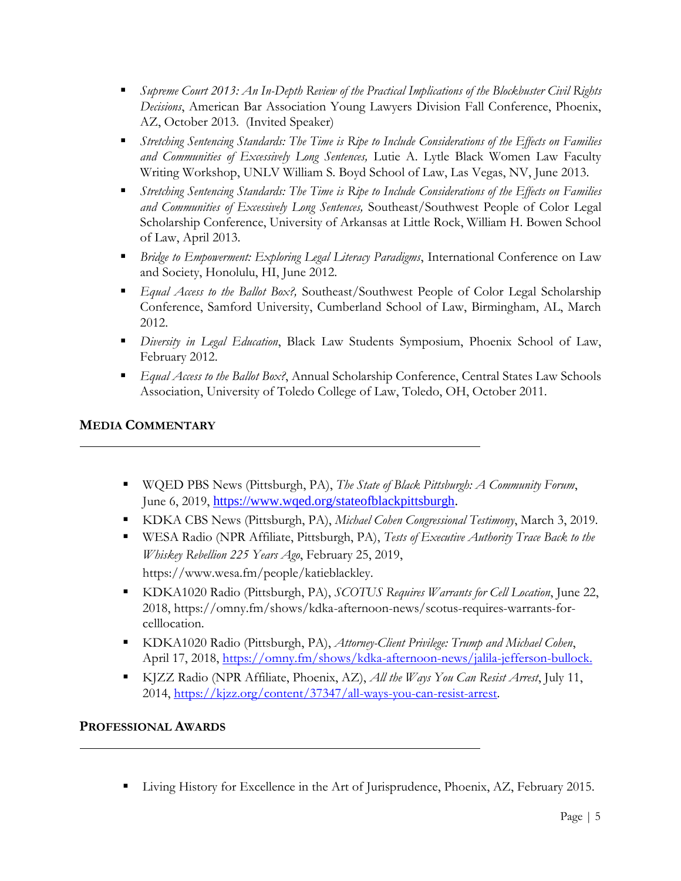- *Supreme Court 2013: An In-Depth Review of the Practical Implications of the Blockbuster Civil Rights Decisions*, American Bar Association Young Lawyers Division Fall Conference, Phoenix, AZ, October 2013. (Invited Speaker)
- *Stretching Sentencing Standards: The Time is Ripe to Include Considerations of the Effects on Families and Communities of Excessively Long Sentences,* Lutie A. Lytle Black Women Law Faculty Writing Workshop, UNLV William S. Boyd School of Law, Las Vegas, NV, June 2013.
- *Stretching Sentencing Standards: The Time is Ripe to Include Considerations of the Effects on Families and Communities of Excessively Long Sentences,* Southeast/Southwest People of Color Legal Scholarship Conference, University of Arkansas at Little Rock, William H. Bowen School of Law, April 2013.
- *Bridge to Empowerment: Exploring Legal Literacy Paradigms*, International Conference on Law and Society, Honolulu, HI, June 2012.
- *Equal Access to the Ballot Box?,* Southeast/Southwest People of Color Legal Scholarship Conference, Samford University, Cumberland School of Law, Birmingham, AL, March 2012.
- *Diversity in Legal Education*, Black Law Students Symposium, Phoenix School of Law, February 2012.
- *Equal Access to the Ballot Box?*, Annual Scholarship Conference, Central States Law Schools Association, University of Toledo College of Law, Toledo, OH, October 2011.

# **MEDIA COMMENTARY**

- WQED PBS News (Pittsburgh, PA), *The State of Black Pittsburgh: A Community Forum*, June 6, 2019, [https://www.wqed.org/stateofblackpittsburgh.](https://www.wqed.org/stateofblackpittsburgh)
- KDKA CBS News (Pittsburgh, PA), *Michael Cohen Congressional Testimony*, March 3, 2019.
- WESA Radio (NPR Affiliate, Pittsburgh, PA), *Tests of Executive Authority Trace Back to the Whiskey Rebellion 225 Years Ago*, February 25, 2019, https://www.wesa.fm/people/katieblackley.
- KDKA1020 Radio (Pittsburgh, PA), *SCOTUS Requires Warrants for Cell Location*, June 22, 2018, https://omny.fm/shows/kdka-afternoon-news/scotus-requires-warrants-forcelllocation.
- KDKA1020 Radio (Pittsburgh, PA), *Attorney-Client Privilege: Trump and Michael Cohen*, April 17, 2018, [https://omny.fm/shows/kdka-afternoon-news/jalila-jefferson-bullock.](https://omny.fm/shows/kdka-afternoon-news/jalila-jefferson-bullock)
- KJZZ Radio (NPR Affiliate, Phoenix, AZ), *All the Ways You Can Resist Arrest*, July 11, 2014, [https://kjzz.org/content/37347/all-ways-you-can-resist-arrest.](https://kjzz.org/content/37347/all-ways-you-can-resist-arrest)

# **PROFESSIONAL AWARDS**

**Example 1** Living History for Excellence in the Art of Jurisprudence, Phoenix, AZ, February 2015.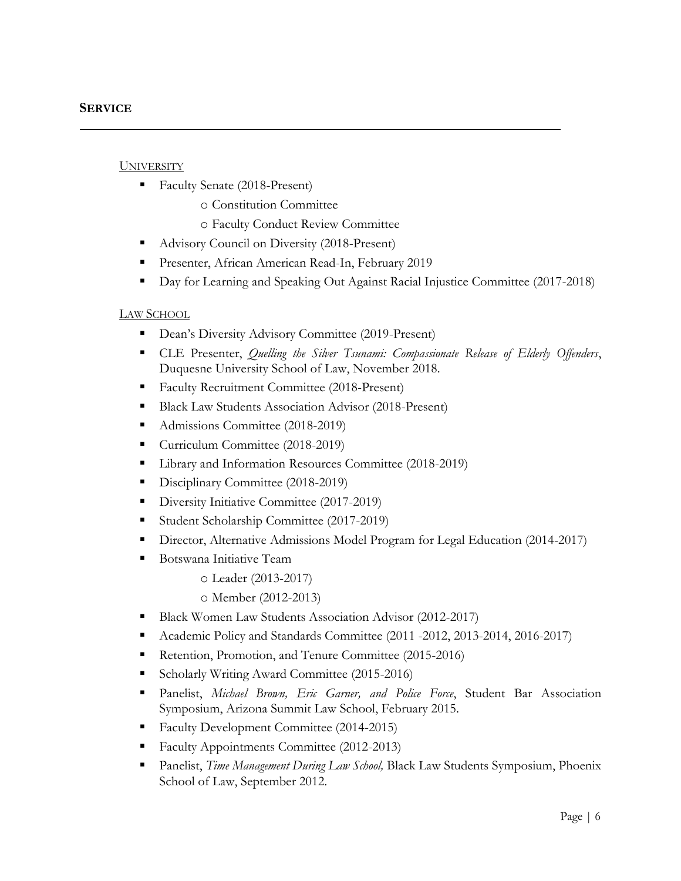#### **UNIVERSITY**

- Faculty Senate (2018-Present)
	- o Constitution Committee
	- o Faculty Conduct Review Committee
- Advisory Council on Diversity (2018-Present)
- **Presenter, African American Read-In, February 2019**
- Day for Learning and Speaking Out Against Racial Injustice Committee (2017-2018)

### LAW SCHOOL

- **Dean's Diversity Advisory Committee (2019-Present)**
- CLE Presenter, *Quelling the Silver Tsunami: Compassionate Release of Elderly Offenders*, Duquesne University School of Law, November 2018.
- Faculty Recruitment Committee (2018-Present)
- Black Law Students Association Advisor (2018-Present)
- Admissions Committee (2018-2019)
- Curriculum Committee (2018-2019)
- **Library and Information Resources Committee (2018-2019)**
- Disciplinary Committee (2018-2019)
- Diversity Initiative Committee (2017-2019)
- Student Scholarship Committee (2017-2019)
- **Director, Alternative Admissions Model Program for Legal Education (2014-2017)**
- Botswana Initiative Team
	- o Leader (2013-2017)
	- o Member (2012-2013)
- Black Women Law Students Association Advisor (2012-2017)
- Academic Policy and Standards Committee (2011 -2012, 2013-2014, 2016-2017)
- Retention, Promotion, and Tenure Committee (2015-2016)
- Scholarly Writing Award Committee (2015-2016)
- Panelist, *Michael Brown, Eric Garner, and Police Force*, Student Bar Association Symposium, Arizona Summit Law School, February 2015.
- Faculty Development Committee (2014-2015)
- Faculty Appointments Committee (2012-2013)
- Panelist, *Time Management During Law School,* Black Law Students Symposium, Phoenix School of Law, September 2012.